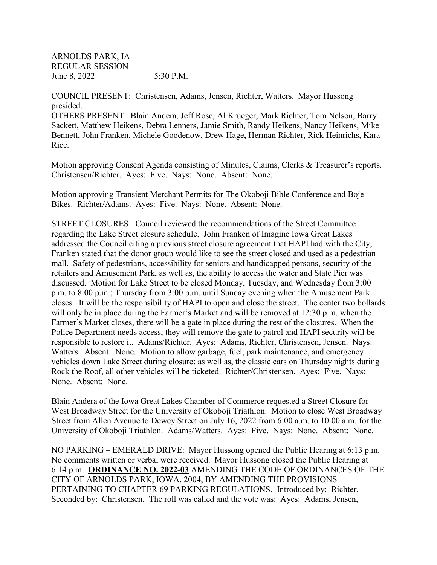ARNOLDS PARK, IA REGULAR SESSION June 8, 2022 5:30 P.M.

COUNCIL PRESENT: Christensen, Adams, Jensen, Richter, Watters. Mayor Hussong presided.

OTHERS PRESENT: Blain Andera, Jeff Rose, Al Krueger, Mark Richter, Tom Nelson, Barry Sackett, Matthew Heikens, Debra Lenners, Jamie Smith, Randy Heikens, Nancy Heikens, Mike Bennett, John Franken, Michele Goodenow, Drew Hage, Herman Richter, Rick Heinrichs, Kara Rice.

Motion approving Consent Agenda consisting of Minutes, Claims, Clerks & Treasurer's reports. Christensen/Richter. Ayes: Five. Nays: None. Absent: None.

Motion approving Transient Merchant Permits for The Okoboji Bible Conference and Boje Bikes. Richter/Adams. Ayes: Five. Nays: None. Absent: None.

STREET CLOSURES: Council reviewed the recommendations of the Street Committee regarding the Lake Street closure schedule. John Franken of Imagine Iowa Great Lakes addressed the Council citing a previous street closure agreement that HAPI had with the City, Franken stated that the donor group would like to see the street closed and used as a pedestrian mall. Safety of pedestrians, accessibility for seniors and handicapped persons, security of the retailers and Amusement Park, as well as, the ability to access the water and State Pier was discussed. Motion for Lake Street to be closed Monday, Tuesday, and Wednesday from 3:00 p.m. to 8:00 p.m.; Thursday from 3:00 p.m. until Sunday evening when the Amusement Park closes. It will be the responsibility of HAPI to open and close the street. The center two bollards will only be in place during the Farmer's Market and will be removed at 12:30 p.m. when the Farmer's Market closes, there will be a gate in place during the rest of the closures. When the Police Department needs access, they will remove the gate to patrol and HAPI security will be responsible to restore it. Adams/Richter. Ayes: Adams, Richter, Christensen, Jensen. Nays: Watters. Absent: None. Motion to allow garbage, fuel, park maintenance, and emergency vehicles down Lake Street during closure; as well as, the classic cars on Thursday nights during Rock the Roof, all other vehicles will be ticketed. Richter/Christensen. Ayes: Five. Nays: None. Absent: None.

Blain Andera of the Iowa Great Lakes Chamber of Commerce requested a Street Closure for West Broadway Street for the University of Okoboji Triathlon. Motion to close West Broadway Street from Allen Avenue to Dewey Street on July 16, 2022 from 6:00 a.m. to 10:00 a.m. for the University of Okoboji Triathlon. Adams/Watters. Ayes: Five. Nays: None. Absent: None.

NO PARKING – EMERALD DRIVE: Mayor Hussong opened the Public Hearing at 6:13 p.m. No comments written or verbal were received. Mayor Hussong closed the Public Hearing at 6:14 p.m. **ORDINANCE NO. 2022-03** AMENDING THE CODE OF ORDINANCES OF THE CITY OF ARNOLDS PARK, IOWA, 2004, BY AMENDING THE PROVISIONS PERTAINING TO CHAPTER 69 PARKING REGULATIONS. Introduced by: Richter. Seconded by: Christensen. The roll was called and the vote was: Ayes: Adams, Jensen,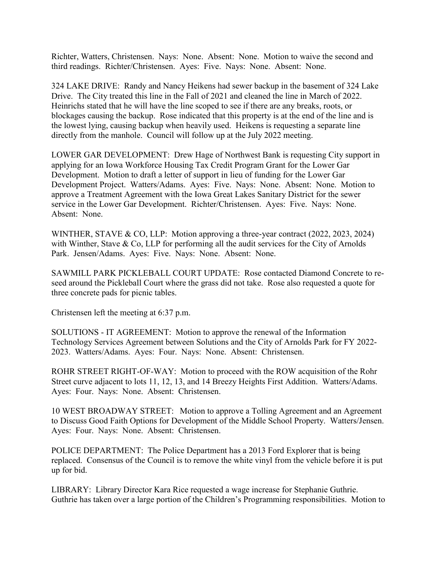Richter, Watters, Christensen. Nays: None. Absent: None. Motion to waive the second and third readings. Richter/Christensen. Ayes: Five. Nays: None. Absent: None.

324 LAKE DRIVE: Randy and Nancy Heikens had sewer backup in the basement of 324 Lake Drive. The City treated this line in the Fall of 2021 and cleaned the line in March of 2022. Heinrichs stated that he will have the line scoped to see if there are any breaks, roots, or blockages causing the backup. Rose indicated that this property is at the end of the line and is the lowest lying, causing backup when heavily used. Heikens is requesting a separate line directly from the manhole. Council will follow up at the July 2022 meeting.

LOWER GAR DEVELOPMENT: Drew Hage of Northwest Bank is requesting City support in applying for an Iowa Workforce Housing Tax Credit Program Grant for the Lower Gar Development. Motion to draft a letter of support in lieu of funding for the Lower Gar Development Project. Watters/Adams. Ayes: Five. Nays: None. Absent: None. Motion to approve a Treatment Agreement with the Iowa Great Lakes Sanitary District for the sewer service in the Lower Gar Development. Richter/Christensen. Ayes: Five. Nays: None. Absent: None.

WINTHER, STAVE & CO, LLP: Motion approving a three-year contract (2022, 2023, 2024) with Winther, Stave & Co, LLP for performing all the audit services for the City of Arnolds Park. Jensen/Adams. Ayes: Five. Nays: None. Absent: None.

SAWMILL PARK PICKLEBALL COURT UPDATE: Rose contacted Diamond Concrete to reseed around the Pickleball Court where the grass did not take. Rose also requested a quote for three concrete pads for picnic tables.

Christensen left the meeting at 6:37 p.m.

SOLUTIONS - IT AGREEMENT: Motion to approve the renewal of the Information Technology Services Agreement between Solutions and the City of Arnolds Park for FY 2022- 2023. Watters/Adams. Ayes: Four. Nays: None. Absent: Christensen.

ROHR STREET RIGHT-OF-WAY: Motion to proceed with the ROW acquisition of the Rohr Street curve adjacent to lots 11, 12, 13, and 14 Breezy Heights First Addition. Watters/Adams. Ayes: Four. Nays: None. Absent: Christensen.

10 WEST BROADWAY STREET: Motion to approve a Tolling Agreement and an Agreement to Discuss Good Faith Options for Development of the Middle School Property. Watters/Jensen. Ayes: Four. Nays: None. Absent: Christensen.

POLICE DEPARTMENT: The Police Department has a 2013 Ford Explorer that is being replaced. Consensus of the Council is to remove the white vinyl from the vehicle before it is put up for bid.

LIBRARY: Library Director Kara Rice requested a wage increase for Stephanie Guthrie. Guthrie has taken over a large portion of the Children's Programming responsibilities. Motion to